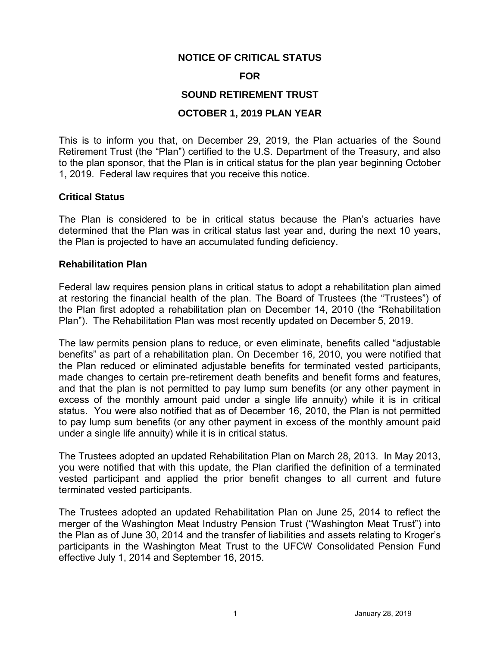## **NOTICE OF CRITICAL STATUS**

#### **FOR**

## **SOUND RETIREMENT TRUST**

## **OCTOBER 1, 2019 PLAN YEAR**

 This is to inform you that, on December 29, 2019, the Plan actuaries of the Sound Retirement Trust (the "Plan") certified to the U.S. Department of the Treasury, and also to the plan sponsor, that the Plan is in critical status for the plan year beginning October 1, 2019. Federal law requires that you receive this notice.

### **Critical Status**

 The Plan is considered to be in critical status because the Plan's actuaries have determined that the Plan was in critical status last year and, during the next 10 years, the Plan is projected to have an accumulated funding deficiency.

#### **Rehabilitation Plan**

 Federal law requires pension plans in critical status to adopt a rehabilitation plan aimed at restoring the financial health of the plan. The Board of Trustees (the "Trustees") of the Plan first adopted a rehabilitation plan on December 14, 2010 (the "Rehabilitation Plan"). The Rehabilitation Plan was most recently updated on December 5, 2019.

 The law permits pension plans to reduce, or even eliminate, benefits called "adjustable benefits" as part of a rehabilitation plan. On December 16, 2010, you were notified that the Plan reduced or eliminated adjustable benefits for terminated vested participants, made changes to certain pre-retirement death benefits and benefit forms and features, and that the plan is not permitted to pay lump sum benefits (or any other payment in excess of the monthly amount paid under a single life annuity) while it is in critical status. You were also notified that as of December 16, 2010, the Plan is not permitted to pay lump sum benefits (or any other payment in excess of the monthly amount paid under a single life annuity) while it is in critical status.

 you were notified that with this update, the Plan clarified the definition of a terminated vested participant and applied the prior benefit changes to all current and future The Trustees adopted an updated Rehabilitation Plan on March 28, 2013. In May 2013, terminated vested participants.

 The Trustees adopted an updated Rehabilitation Plan on June 25, 2014 to reflect the merger of the Washington Meat Industry Pension Trust ("Washington Meat Trust") into participants in the Washington Meat Trust to the UFCW Consolidated Pension Fund the Plan as of June 30, 2014 and the transfer of liabilities and assets relating to Kroger's effective July 1, 2014 and September 16, 2015.